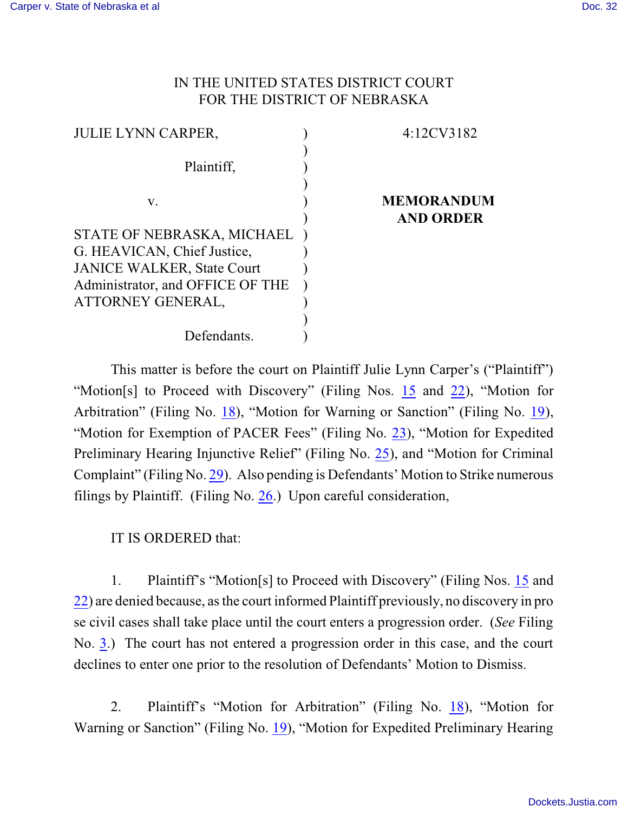## IN THE UNITED STATES DISTRICT COURT FOR THE DISTRICT OF NEBRASKA

| <b>JULIE LYNN CARPER,</b>         | 4:12CV3182        |
|-----------------------------------|-------------------|
|                                   |                   |
| Plaintiff,                        |                   |
|                                   |                   |
| V.                                | <b>MEMORANDUM</b> |
|                                   | <b>AND ORDER</b>  |
| STATE OF NEBRASKA, MICHAEL        |                   |
| G. HEAVICAN, Chief Justice,       |                   |
| <b>JANICE WALKER, State Court</b> |                   |
| Administrator, and OFFICE OF THE  |                   |
| ATTORNEY GENERAL,                 |                   |
|                                   |                   |
| Defendants.                       |                   |

This matter is before the court on Plaintiff Julie Lynn Carper's ("Plaintiff") "Motion[s] to Proceed with Discovery" (Filing Nos. [15](https://ecf.ned.uscourts.gov/doc1/11312634471) and [22](https://ecf.ned.uscourts.gov/doc1/11312664292)), "Motion for Arbitration" (Filing No. [18](http://ecf.ned.uscourts.gov/doc1/11302637331)), "Motion for Warning or Sanction" (Filing No. [19](http://ecf.ned.uscourts.gov/doc1/11302637337)), "Motion for Exemption of PACER Fees" (Filing No. [23](http://ecf.ned.uscourts.gov/doc1/11302679675)), "Motion for Expedited Preliminary Hearing Injunctive Relief" (Filing No. [25](http://ecf.ned.uscourts.gov/doc1/11302681893)), and "Motion for Criminal Complaint" (Filing No. [29](http://ecf.ned.uscourts.gov/doc1/11302708117)). Also pending is Defendants' Motion to Strike numerous filings by Plaintiff. (Filing No. [26](http://ecf.ned.uscourts.gov/doc1/11302683745).) Upon careful consideration,

## IT IS ORDERED that:

1. Plaintiff's "Motion[s] to Proceed with Discovery" (Filing Nos. [15](https://ecf.ned.uscourts.gov/doc1/11312634471) and [22](https://ecf.ned.uscourts.gov/doc1/11312664292)) are denied because, asthe court informed Plaintiff previously, no discovery in pro se civil cases shall take place until the court enters a progression order. (*See* Filing No. [3](http://ecf.ned.uscourts.gov/doc1/11302596657).) The court has not entered a progression order in this case, and the court declines to enter one prior to the resolution of Defendants' Motion to Dismiss.

2. Plaintiff's "Motion for Arbitration" (Filing No. [18](http://ecf.ned.uscourts.gov/doc1/11302637331)), "Motion for Warning or Sanction" (Filing No. [19](http://ecf.ned.uscourts.gov/doc1/11302637337)), "Motion for Expedited Preliminary Hearing